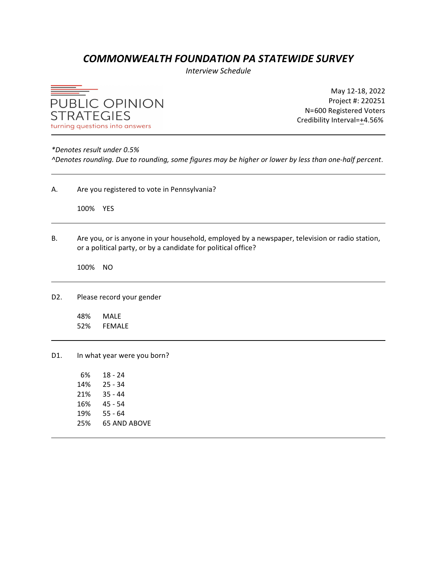## *COMMONWEALTH FOUNDATION PA STATEWIDE SURVEY*

*Interview Schedule*



May 12-18, 2022 Project #: 220251 N=600 Registered Voters Credibility Interval=+4.56%

### *\*Denotes result under 0.5%*

*^Denotes rounding. Due to rounding, some figures may be higher or lower by less than one-half percent*.

| Α.               |            | Are you registered to vote in Pennsylvania?                                                                                                                     |  |  |  |  |  |
|------------------|------------|-----------------------------------------------------------------------------------------------------------------------------------------------------------------|--|--|--|--|--|
|                  | 100% YES   |                                                                                                                                                                 |  |  |  |  |  |
| В.               |            | Are you, or is anyone in your household, employed by a newspaper, television or radio station,<br>or a political party, or by a candidate for political office? |  |  |  |  |  |
|                  | 100%       | <b>NO</b>                                                                                                                                                       |  |  |  |  |  |
| D <sub>2</sub> . |            | Please record your gender                                                                                                                                       |  |  |  |  |  |
|                  | 48%<br>52% | <b>MALE</b><br><b>FEMALE</b>                                                                                                                                    |  |  |  |  |  |
| D1.              |            | In what year were you born?                                                                                                                                     |  |  |  |  |  |
|                  | 6%         | $18 - 24$                                                                                                                                                       |  |  |  |  |  |
|                  | 14%        | $25 - 34$                                                                                                                                                       |  |  |  |  |  |
|                  | 21%        | $35 - 44$                                                                                                                                                       |  |  |  |  |  |
|                  | 16%        | $45 - 54$                                                                                                                                                       |  |  |  |  |  |
|                  | 19%        | $55 - 64$                                                                                                                                                       |  |  |  |  |  |
|                  | 25%        | <b>65 AND ABOVE</b>                                                                                                                                             |  |  |  |  |  |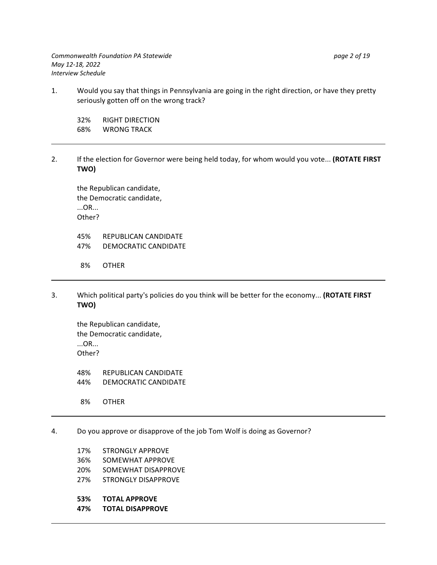*Commonwealth Foundation PA Statewide page 2 of 19 May 12-18, 2022 Interview Schedule*

1. Would you say that things in Pennsylvania are going in the right direction, or have they pretty seriously gotten off on the wrong track?

32% RIGHT DIRECTION 68% WRONG TRACK

2. If the election for Governor were being held today, for whom would you vote... **(ROTATE FIRST TWO)**

the Republican candidate, the Democratic candidate, ...OR... Other?

45% REPUBLICAN CANDIDATE 47% DEMOCRATIC CANDIDATE

8% OTHER

3. Which political party's policies do you think will be better for the economy... **(ROTATE FIRST TWO)**

the Republican candidate, the Democratic candidate, ...OR... Other?

48% REPUBLICAN CANDIDATE 44% DEMOCRATIC CANDIDATE

8% OTHER

- 4. Do you approve or disapprove of the job Tom Wolf is doing as Governor?
	- 17% STRONGLY APPROVE
	- 36% SOMEWHAT APPROVE
	- 20% SOMEWHAT DISAPPROVE
	- 27% STRONGLY DISAPPROVE
	- **53% TOTAL APPROVE**
	- **47% TOTAL DISAPPROVE**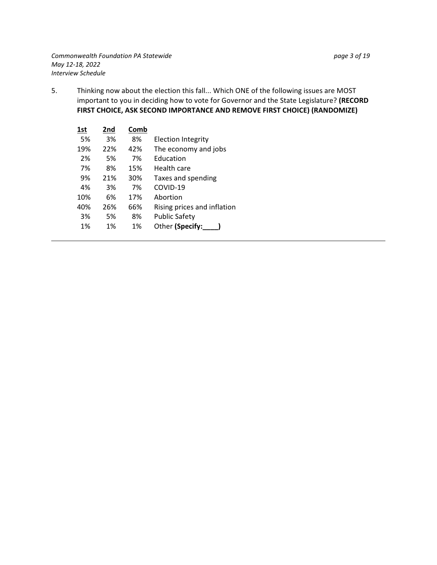5. Thinking now about the election this fall... Which ONE of the following issues are MOST important to you in deciding how to vote for Governor and the State Legislature? **(RECORD FIRST CHOICE, ASK SECOND IMPORTANCE AND REMOVE FIRST CHOICE) (RANDOMIZE)**

| 1st | 2nd | Comb |                             |
|-----|-----|------|-----------------------------|
| 5%  | 3%  | 8%   | <b>Election Integrity</b>   |
| 19% | 22% | 42%  | The economy and jobs        |
| 2%  | 5%  | 7%   | Education                   |
| 7%  | 8%  | 15%  | Health care                 |
| 9%  | 21% | 30%  | Taxes and spending          |
| 4%  | 3%  | 7%   | COVID-19                    |
| 10% | 6%  | 17%  | Abortion                    |
| 40% | 26% | 66%  | Rising prices and inflation |
| 3%  | 5%  | 8%   | <b>Public Safety</b>        |
| 1%  | 1%  | 1%   | Other (Specify:             |
|     |     |      |                             |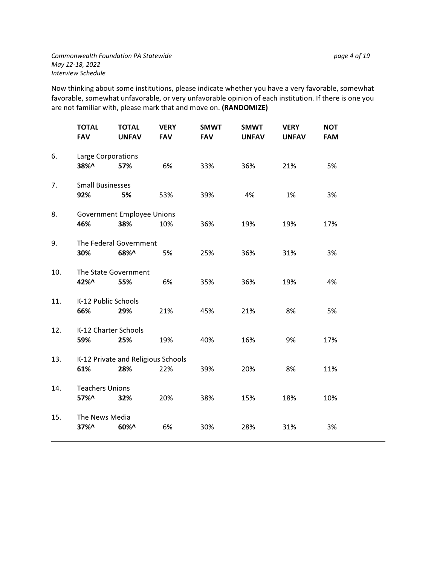Now thinking about some institutions, please indicate whether you have a very favorable, somewhat favorable, somewhat unfavorable, or very unfavorable opinion of each institution. If there is one you are not familiar with, please mark that and move on. **(RANDOMIZE)**

|     | <b>TOTAL</b><br><b>FAV</b>     | <b>TOTAL</b><br><b>UNFAV</b>              | <b>VERY</b><br><b>FAV</b> | <b>SMWT</b><br><b>FAV</b> | <b>SMWT</b><br><b>UNFAV</b> | <b>VERY</b><br><b>UNFAV</b> | <b>NOT</b><br><b>FAM</b> |
|-----|--------------------------------|-------------------------------------------|---------------------------|---------------------------|-----------------------------|-----------------------------|--------------------------|
| 6.  | Large Corporations<br>38%^     | 57%                                       | 6%                        | 33%                       | 36%                         | 21%                         | 5%                       |
| 7.  | <b>Small Businesses</b><br>92% | 5%                                        | 53%                       | 39%                       | 4%                          | 1%                          | 3%                       |
| 8.  | 46%                            | <b>Government Employee Unions</b><br>38%  | 10%                       | 36%                       | 19%                         | 19%                         | 17%                      |
| 9.  | 30%                            | The Federal Government<br>68%^            | 5%                        | 25%                       | 36%                         | 31%                         | 3%                       |
| 10. | The State Government<br>42%^   | 55%                                       | 6%                        | 35%                       | 36%                         | 19%                         | 4%                       |
| 11. | K-12 Public Schools<br>66%     | 29%                                       | 21%                       | 45%                       | 21%                         | 8%                          | 5%                       |
| 12. | K-12 Charter Schools<br>59%    | 25%                                       | 19%                       | 40%                       | 16%                         | 9%                          | 17%                      |
| 13. | 61%                            | K-12 Private and Religious Schools<br>28% | 22%                       | 39%                       | 20%                         | 8%                          | 11%                      |
| 14. | <b>Teachers Unions</b><br>57%^ | 32%                                       | 20%                       | 38%                       | 15%                         | 18%                         | 10%                      |
| 15. | The News Media<br>37%^         | 60%^                                      | 6%                        | 30%                       | 28%                         | 31%                         | 3%                       |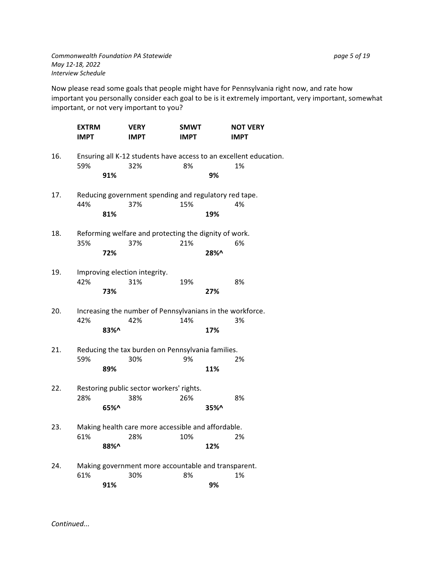Now please read some goals that people might have for Pennsylvania right now, and rate how important you personally consider each goal to be is it extremely important, very important, somewhat important, or not very important to you?

|     | <b>EXTRM</b><br><b>IMPT</b> |        | <b>VERY</b><br><b>IMPT</b>                                       | <b>SMWT</b><br><b>IMPT</b> |      | <b>NOT VERY</b><br><b>IMPT</b>                                          |
|-----|-----------------------------|--------|------------------------------------------------------------------|----------------------------|------|-------------------------------------------------------------------------|
| 16. | 59%                         | 91%    | 32%                                                              | 8%                         | 9%   | Ensuring all K-12 students have access to an excellent education.<br>1% |
| 17. | 44%                         | 81%    | Reducing government spending and regulatory red tape.<br>37%     | 15%                        | 19%  | 4%                                                                      |
| 18. | 35%                         | 72%    | Reforming welfare and protecting the dignity of work.<br>37%     | 21%                        | 28%^ | 6%                                                                      |
| 19. | 42%                         | 73%    | Improving election integrity.<br>31%                             | 19%                        | 27%  | 8%                                                                      |
| 20. | 42%                         | 83%^   | Increasing the number of Pennsylvanians in the workforce.<br>42% | 14%                        | 17%  | 3%                                                                      |
| 21. | 59%                         | 89%    | Reducing the tax burden on Pennsylvania families.<br>30%         | 9%                         | 11%  | 2%                                                                      |
| 22. | 28%                         | 65%    | Restoring public sector workers' rights.<br>38%                  | 26%                        | 35%^ | 8%                                                                      |
| 23. | 61%                         | 88%^   | Making health care more accessible and affordable.<br>28%        | 10%                        | 12%  | 2%                                                                      |
| 24. | 61%                         | 94 A Z | Making government more accountable and transparent.<br>30%       | 8%                         | 901  | 1%                                                                      |

**91% 9%**

*Continued...*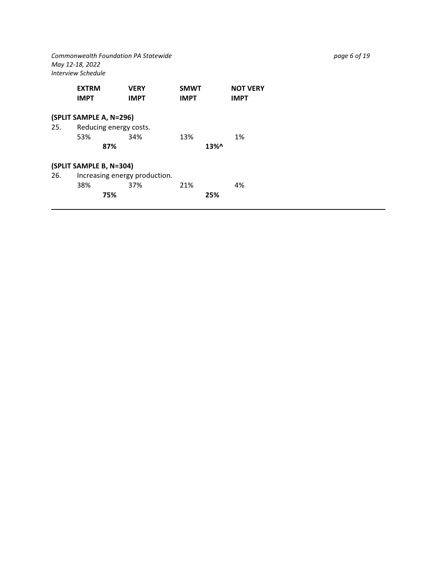*Commonwealth Foundation PA Statewide page 6 of 19 May 12-18, 2022 Interview Schedule*

|     | <b>EXTRM</b><br><b>IMPT</b> | <b>VERY</b><br><b>IMPT</b>    | <b>SMWT</b><br><b>IMPT</b> |         | <b>NOT VERY</b><br><b>IMPT</b> |  |
|-----|-----------------------------|-------------------------------|----------------------------|---------|--------------------------------|--|
|     | (SPLIT SAMPLE A, N=296)     |                               |                            |         |                                |  |
| 25. | Reducing energy costs.      |                               |                            |         |                                |  |
|     | 53%                         | 34%                           | 13%                        |         | 1%                             |  |
|     | 87%                         |                               |                            | $13\%0$ |                                |  |
|     | (SPLIT SAMPLE B, N=304)     |                               |                            |         |                                |  |
| 26. |                             | Increasing energy production. |                            |         |                                |  |
|     | 38%                         | 37%                           | 21%                        |         | 4%                             |  |
|     | 75%                         |                               |                            | 25%     |                                |  |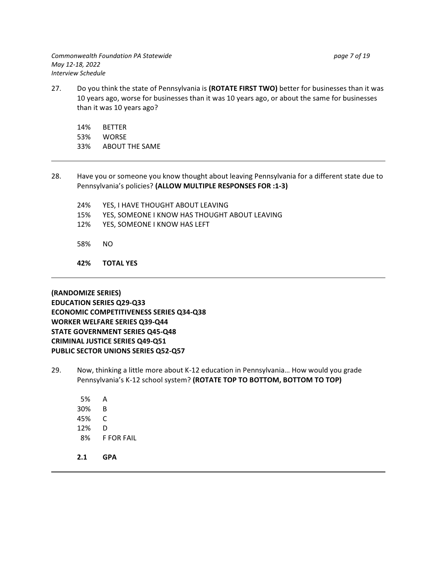27. Do you think the state of Pennsylvania is **(ROTATE FIRST TWO)** better for businesses than it was 10 years ago, worse for businesses than it was 10 years ago, or about the same for businesses than it was 10 years ago?

14% BETTER 53% WORSE 33% ABOUT THE SAME

- 28. Have you or someone you know thought about leaving Pennsylvania for a different state due to Pennsylvania's policies? **(ALLOW MULTIPLE RESPONSES FOR :1-3)**
	- 24% YES, I HAVE THOUGHT ABOUT LEAVING 15% YES, SOMEONE I KNOW HAS THOUGHT ABOUT LEAVING 12% YES, SOMEONE I KNOW HAS LEFT
	- 58% NO
	- **42% TOTAL YES**

**(RANDOMIZE SERIES) ECONOMIC COMPETITIVENESS SERIES Q34-Q38 WORKER WELFARE SERIES Q39-Q44 STATE GOVERNMENT SERIES Q45-Q48 STATE GOVERNMENT SERIES Q45-Q48 CRIMINAL JUSTICE SERIES Q49-Q51 PUBLIC SECTOR UNIONS SERIES Q52-Q57**

- 29. Now, thinking a little more about K-12 education in Pennsylvania… How would you grade Pennsylvania's K-12 school system? **(ROTATE TOP TO BOTTOM, BOTTOM TO TOP)**
	- 5% A 30% B 45% C 12% D 8% F FOR FAIL
	- **2.1 GPA**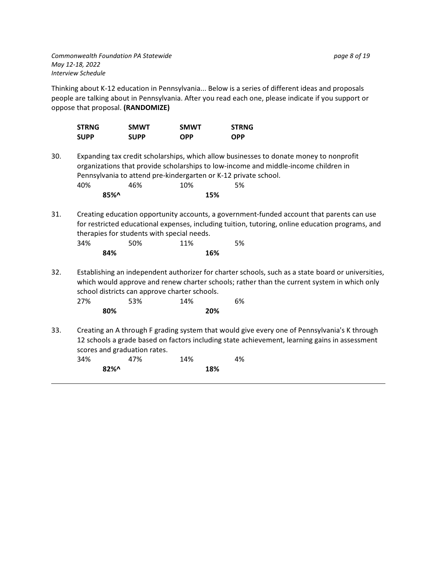Thinking about K-12 education in Pennsylvania... Below is a series of different ideas and proposals people are talking about in Pennsylvania. After you read each one, please indicate if you support or oppose that proposal. **(RANDOMIZE)**

| <b>STRNG</b> | <b>SMWT</b> | <b>SMWT</b> | <b>STRNG</b> |
|--------------|-------------|-------------|--------------|
| <b>SUPP</b>  | <b>SUPP</b> | <b>OPP</b>  | <b>OPP</b>   |

- 30. Expanding tax credit scholarships, which allow businesses to donate money to nonprofit organizations that provide scholarships to low-income and middle-income children in Pennsylvania to attend pre-kindergarten or K-12 private school. 40% 46% 10% 5% **85%^ 15%**
- 31. Creating education opportunity accounts, a government-funded account that parents can use for restricted educational expenses, including tuition, tutoring, online education programs, and therapies for students with special needs. 34% 50% 11% 5%

| - 3470 |     | JU 70 | <b>TT</b> /0 |     | 70 ل |
|--------|-----|-------|--------------|-----|------|
|        | 84% |       |              | 16% |      |
|        |     |       |              |     |      |

32. Establishing an independent authorizer for charter schools, such as a state board or universities, which would approve and renew charter schools; rather than the current system in which only school districts can approve charter schools.

| 27% |     | 53% | 14% |     | 6% |
|-----|-----|-----|-----|-----|----|
|     | 80% |     |     | 20% |    |

33. Creating an A through F grading system that would give every one of Pennsylvania's K through 12 schools a grade based on factors including state achievement, learning gains in assessment scores and graduation rates.

| 34% | 47%    | 14% | 4% |
|-----|--------|-----|----|
|     | $82\%$ | 18% |    |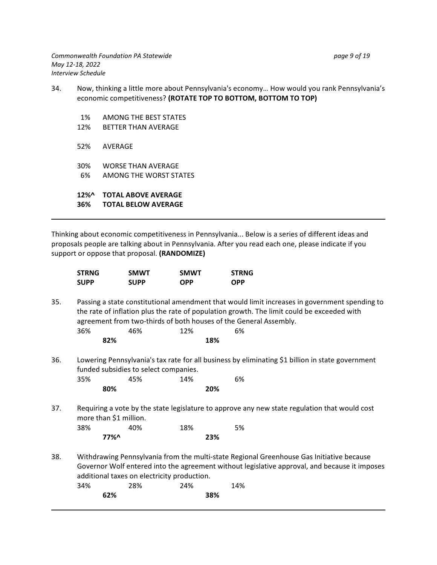- 34. Now, thinking a little more about Pennsylvania's economy… How would you rank Pennsylvania's economic competitiveness? **(ROTATE TOP TO BOTTOM, BOTTOM TO TOP)**
	- 1% AMONG THE BEST STATES 12% BETTER THAN AVERAGE 52% AVERAGE 30% WORSE THAN AVERAGE 6% AMONG THE WORST STATES **12%^ TOTAL ABOVE AVERAGE 36% TOTAL BELOW AVERAGE**

Thinking about economic competitiveness in Pennsylvania... Below is a series of different ideas and proposals people are talking about in Pennsylvania. After you read each one, please indicate if you support or oppose that proposal. **(RANDOMIZE)**

| <b>STRNG</b> | <b>SMWT</b> | <b>SMWT</b> | <b>STRNG</b> |
|--------------|-------------|-------------|--------------|
| <b>SUPP</b>  | <b>SUPP</b> | <b>OPP</b>  | <b>OPP</b>   |

- 35. Passing a state constitutional amendment that would limit increases in government spending to the rate of inflation plus the rate of population growth. The limit could be exceeded with agreement from two-thirds of both houses of the General Assembly. 36% 46% 12% 6% **82% 18%**
- 36. Lowering Pennsylvania's tax rate for all business by eliminating \$1 billion in state government funded subsidies to select companies.

| 35% | 45% | 14% | 6% |
|-----|-----|-----|----|
|     | 80% | 20% |    |

37. Requiring a vote by the state legislature to approve any new state regulation that would cost more than \$1 million.

| 38% |         | 40% | 18% | 5%  |
|-----|---------|-----|-----|-----|
|     | $77\%^$ |     |     | 23% |

38. Withdrawing Pennsylvania from the multi-state Regional Greenhouse Gas Initiative because Governor Wolf entered into the agreement without legislative approval, and because it imposes additional taxes on electricity production. 34% 28% 24% 14%

| ンテノい |  | 2070 | 27/0 |  | ᅩᅮ |
|------|--|------|------|--|----|
| 62%  |  | 38%  |      |  |    |
|      |  |      |      |  |    |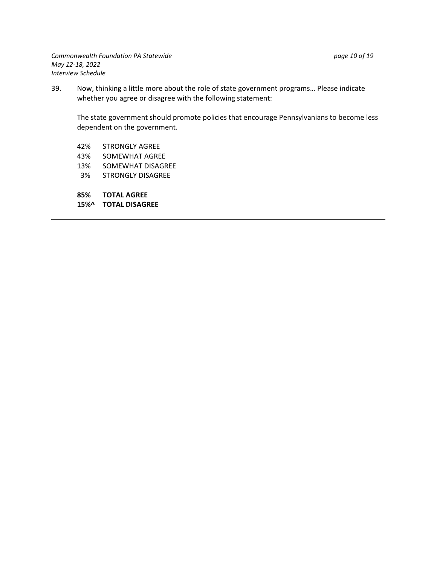39. Now, thinking a little more about the role of state government programs… Please indicate whether you agree or disagree with the following statement:

The state government should promote policies that encourage Pennsylvanians to become less dependent on the government.

- 42% STRONGLY AGREE
- 43% SOMEWHAT AGREE
- 13% SOMEWHAT DISAGREE
- 3% STRONGLY DISAGREE
- 
- **85% TOTAL AGREE 15%^ TOTAL DISAGREE**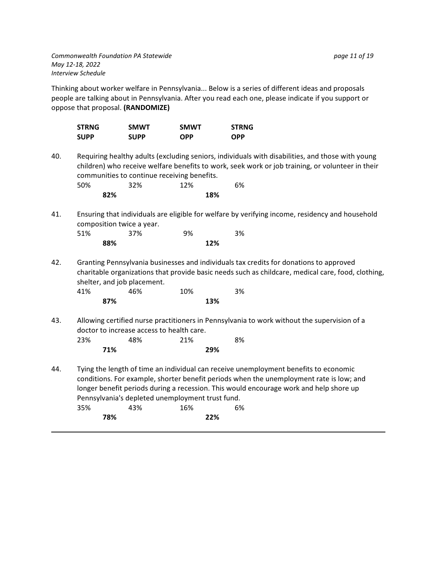Thinking about worker welfare in Pennsylvania... Below is a series of different ideas and proposals people are talking about in Pennsylvania. After you read each one, please indicate if you support or oppose that proposal. **(RANDOMIZE)**

|     | <b>STRNG</b><br><b>SUPP</b>                                                                                                                                                                                                                         | <b>SMWT</b><br><b>SUPP</b> | <b>SMWT</b><br><b>OPP</b>                        | <b>STRNG</b><br><b>OPP</b>                                                                                                                                                                                                                                                |  |  |
|-----|-----------------------------------------------------------------------------------------------------------------------------------------------------------------------------------------------------------------------------------------------------|----------------------------|--------------------------------------------------|---------------------------------------------------------------------------------------------------------------------------------------------------------------------------------------------------------------------------------------------------------------------------|--|--|
| 40. | Requiring healthy adults (excluding seniors, individuals with disabilities, and those with young<br>children) who receive welfare benefits to work, seek work or job training, or volunteer in their<br>communities to continue receiving benefits. |                            |                                                  |                                                                                                                                                                                                                                                                           |  |  |
|     | 50%                                                                                                                                                                                                                                                 | 32%                        | 12%                                              | 6%                                                                                                                                                                                                                                                                        |  |  |
|     | 82%                                                                                                                                                                                                                                                 |                            | 18%                                              |                                                                                                                                                                                                                                                                           |  |  |
| 41. |                                                                                                                                                                                                                                                     | composition twice a year.  |                                                  | Ensuring that individuals are eligible for welfare by verifying income, residency and household                                                                                                                                                                           |  |  |
|     | 51%                                                                                                                                                                                                                                                 | 37%                        | 9%                                               | 3%                                                                                                                                                                                                                                                                        |  |  |
|     | 88%                                                                                                                                                                                                                                                 |                            | 12%                                              |                                                                                                                                                                                                                                                                           |  |  |
| 42. | Granting Pennsylvania businesses and individuals tax credits for donations to approved<br>charitable organizations that provide basic needs such as childcare, medical care, food, clothing,<br>shelter, and job placement.                         |                            |                                                  |                                                                                                                                                                                                                                                                           |  |  |
|     | 41%                                                                                                                                                                                                                                                 | 46%                        | 10%                                              | 3%                                                                                                                                                                                                                                                                        |  |  |
|     | 87%                                                                                                                                                                                                                                                 |                            | 13%                                              |                                                                                                                                                                                                                                                                           |  |  |
| 43. | Allowing certified nurse practitioners in Pennsylvania to work without the supervision of a<br>doctor to increase access to health care.                                                                                                            |                            |                                                  |                                                                                                                                                                                                                                                                           |  |  |
|     | 23%                                                                                                                                                                                                                                                 | 48%                        | 21%                                              | 8%                                                                                                                                                                                                                                                                        |  |  |
|     | 71%                                                                                                                                                                                                                                                 |                            | 29%                                              |                                                                                                                                                                                                                                                                           |  |  |
| 44. |                                                                                                                                                                                                                                                     |                            | Pennsylvania's depleted unemployment trust fund. | Tying the length of time an individual can receive unemployment benefits to economic<br>conditions. For example, shorter benefit periods when the unemployment rate is low; and<br>longer benefit periods during a recession. This would encourage work and help shore up |  |  |
|     | 35%<br>700/                                                                                                                                                                                                                                         | 43%                        | 16%<br><b>つつ0/</b>                               | 6%                                                                                                                                                                                                                                                                        |  |  |
|     |                                                                                                                                                                                                                                                     |                            |                                                  |                                                                                                                                                                                                                                                                           |  |  |

**78% 22%**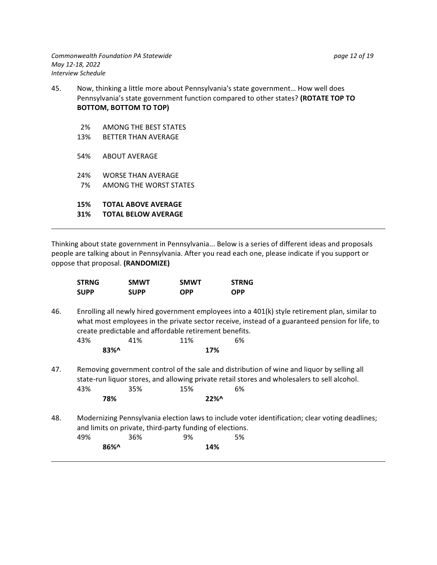- 45. Now, thinking a little more about Pennsylvania's state government… How well does Pennsylvania's state government function compared to other states? **(ROTATE TOP TO BOTTOM, BOTTOM TO TOP)**
	- 2% AMONG THE BEST STATES
	- 13% BETTER THAN AVERAGE
	- 54% ABOUT AVERAGE
	- 24% WORSE THAN AVERAGE 7% AMONG THE WORST STATES

**15% TOTAL ABOVE AVERAGE 31% TOTAL BELOW AVERAGE**

Thinking about state government in Pennsylvania... Below is a series of different ideas and proposals people are talking about in Pennsylvania. After you read each one, please indicate if you support or

oppose that proposal. **(RANDOMIZE)**

| <b>STRNG</b> | <b>SMWT</b> | <b>SMWT</b> | <b>STRNG</b> |
|--------------|-------------|-------------|--------------|
| <b>SUPP</b>  | <b>SUPP</b> | <b>OPP</b>  | <b>OPP</b>   |

46. Enrolling all newly hired government employees into a 401(k) style retirement plan, similar to what most employees in the private sector receive, instead of a guaranteed pension for life, to create predictable and affordable retirement benefits.

| 43%     | 41% | 11% | 6% |
|---------|-----|-----|----|
| $83\%0$ |     | 17% |    |

**78% 22%^**

**86%^ 14%**

47. Removing government control of the sale and distribution of wine and liquor by selling all state-run liquor stores, and allowing private retail stores and wholesalers to sell alcohol. 43% 35% 15% 6%

48. Modernizing Pennsylvania election laws to include voter identification; clear voting deadlines; and limits on private, third-party funding of elections. 49% 36% 9% 5%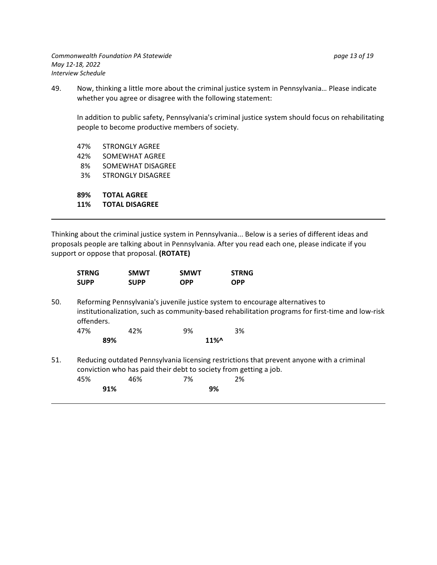49. Now, thinking a little more about the criminal justice system in Pennsylvania… Please indicate whether you agree or disagree with the following statement:

In addition to public safety, Pennsylvania's criminal justice system should focus on rehabilitating people to become productive members of society.

47% STRONGLY AGREE 42% SOMEWHAT AGREE 8% SOMEWHAT DISAGREE 3% STRONGLY DISAGREE **89% TOTAL AGREE 11% TOTAL DISAGREE**

Thinking about the criminal justice system in Pennsylvania... Below is a series of different ideas and proposals people are talking about in Pennsylvania. After you read each one, please indicate if you support or oppose that proposal. **(ROTATE)**

|     | <b>STRNG</b>                                                                                                                                                   | <b>SMWT</b> | <b>SMWT</b> | <b>STRNG</b>                                                                                                                                                                       |  |
|-----|----------------------------------------------------------------------------------------------------------------------------------------------------------------|-------------|-------------|------------------------------------------------------------------------------------------------------------------------------------------------------------------------------------|--|
|     | <b>SUPP</b>                                                                                                                                                    | <b>SUPP</b> | <b>OPP</b>  | <b>OPP</b>                                                                                                                                                                         |  |
| 50. | offenders.                                                                                                                                                     |             |             | Reforming Pennsylvania's juvenile justice system to encourage alternatives to<br>institutionalization, such as community-based rehabilitation programs for first-time and low-risk |  |
|     | 47%                                                                                                                                                            | 42%         | 9%          | 3%                                                                                                                                                                                 |  |
|     | 89%                                                                                                                                                            |             | $11\%$      |                                                                                                                                                                                    |  |
| 51. | Reducing outdated Pennsylvania licensing restrictions that prevent anyone with a criminal<br>conviction who has paid their debt to society from getting a job. |             |             |                                                                                                                                                                                    |  |
|     | 45%                                                                                                                                                            | 46%         | 7%          | 2%                                                                                                                                                                                 |  |
|     | 91%                                                                                                                                                            |             | 9%          |                                                                                                                                                                                    |  |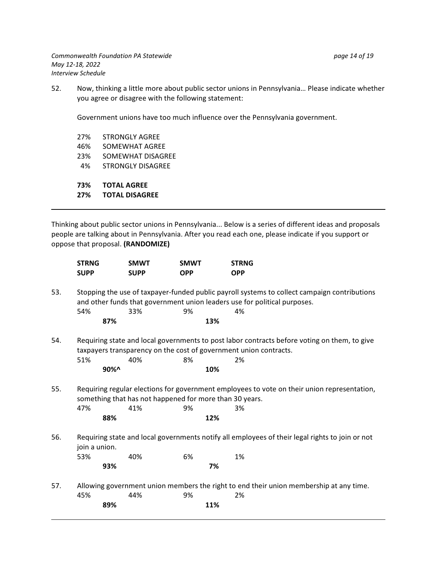52. Now, thinking a little more about public sector unions in Pennsylvania… Please indicate whether you agree or disagree with the following statement:

Government unions have too much influence over the Pennsylvania government.

27% STRONGLY AGREE 46% SOMEWHAT AGREE 23% SOMEWHAT DISAGREE 4% STRONGLY DISAGREE

**73% TOTAL AGREE 27% TOTAL DISAGREE**

Thinking about public sector unions in Pennsylvania... Below is a series of different ideas and proposals people are talking about in Pennsylvania. After you read each one, please indicate if you support or oppose that proposal. **(RANDOMIZE)**

|     | <b>STRNG</b>                                                                                                                                                              | <b>SMWT</b> | <b>SMWT</b> | <b>STRNG</b>                                                                                    |  |  |
|-----|---------------------------------------------------------------------------------------------------------------------------------------------------------------------------|-------------|-------------|-------------------------------------------------------------------------------------------------|--|--|
|     | <b>SUPP</b>                                                                                                                                                               | <b>SUPP</b> | <b>OPP</b>  | <b>OPP</b>                                                                                      |  |  |
| 53. | Stopping the use of taxpayer-funded public payroll systems to collect campaign contributions<br>and other funds that government union leaders use for political purposes. |             |             |                                                                                                 |  |  |
|     | 54%                                                                                                                                                                       | 33%         | 9%          | 4%                                                                                              |  |  |
|     | 87%                                                                                                                                                                       |             | 13%         |                                                                                                 |  |  |
| 54. | Requiring state and local governments to post labor contracts before voting on them, to give<br>taxpayers transparency on the cost of government union contracts.         |             |             |                                                                                                 |  |  |
|     | 51%                                                                                                                                                                       | 40%         | 8%          | 2%                                                                                              |  |  |
|     | $90\%$                                                                                                                                                                    |             | 10%         |                                                                                                 |  |  |
| 55. | Requiring regular elections for government employees to vote on their union representation,<br>something that has not happened for more than 30 years.                    |             |             |                                                                                                 |  |  |
|     | 47%                                                                                                                                                                       | 41%         | 9%          | 3%                                                                                              |  |  |
|     | 88%                                                                                                                                                                       |             | 12%         |                                                                                                 |  |  |
| 56. | join a union.                                                                                                                                                             |             |             | Requiring state and local governments notify all employees of their legal rights to join or not |  |  |
|     | 53%                                                                                                                                                                       | 40%         | 6%          | 1%                                                                                              |  |  |
|     | 93%                                                                                                                                                                       |             | 7%          |                                                                                                 |  |  |
| 57. | Allowing government union members the right to end their union membership at any time.                                                                                    |             |             |                                                                                                 |  |  |
|     | 45%                                                                                                                                                                       | 44%         | 9%          | 2%                                                                                              |  |  |
|     | 89%                                                                                                                                                                       |             | 11%         |                                                                                                 |  |  |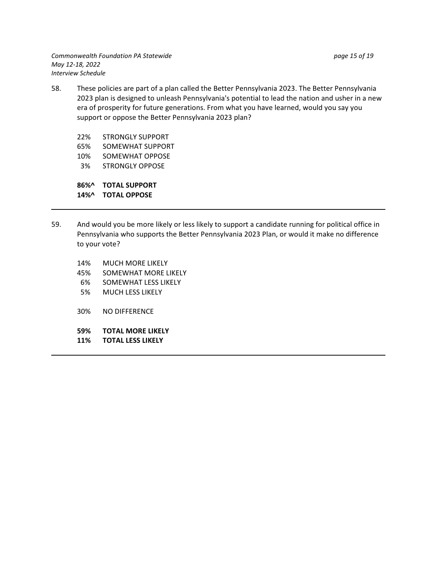58. These policies are part of a plan called the Better Pennsylvania 2023. The Better Pennsylvania 2023 plan is designed to unleash Pennsylvania's potential to lead the nation and usher in a new era of prosperity for future generations. From what you have learned, would you say you support or oppose the Better Pennsylvania 2023 plan?

22% STRONGLY SUPPORT

- 65% SOMEWHAT SUPPORT
- 10% SOMEWHAT OPPOSE
- 3% STRONGLY OPPOSE

**86%^ TOTAL SUPPORT 14%^ TOTAL OPPOSE**

- 59. And would you be more likely or less likely to support a candidate running for political office in Pennsylvania who supports the Better Pennsylvania 2023 Plan, or would it make no difference to your vote?
	- 14% MUCH MORE LIKELY
	- 45% SOMEWHAT MORE LIKELY
	- 6% SOMEWHAT LESS LIKELY
	- 5% MUCH LESS LIKELY
	- 30% NO DIFFERENCE
	- **59% TOTAL MORE LIKELY**
	- **11% TOTAL LESS LIKELY**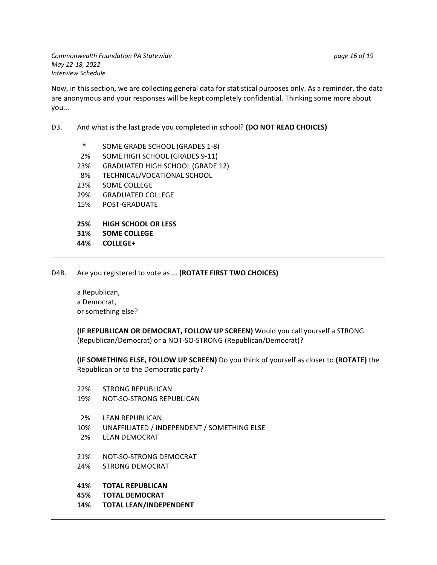*Commonwealth Foundation PA Statewide page 16 of 19 May 12-18, 2022 Interview Schedule*

Now, in this section, we are collecting general data for statistical purposes only. As a reminder, the data are anonymous and your responses will be kept completely confidential. Thinking some more about you...

### D3. And what is the last grade you completed in school? **(DO NOT READ CHOICES)**

- \* SOME GRADE SCHOOL (GRADES 1-8) 2% SOME HIGH SCHOOL (GRADES 9-11) 23% GRADUATED HIGH SCHOOL (GRADE 12) 8% TECHNICAL/VOCATIONAL SCHOOL 23% SOME COLLEGE 29% GRADUATED COLLEGE 15% POST-GRADUATE **25% HIGH SCHOOL OR LESS**
- **31% SOME COLLEGE**
- **44% COLLEGE+**
- D4B. Are you registered to vote as ... **(ROTATE FIRST TWO CHOICES)**

a Republican, a Democrat, or something else?

**(IF REPUBLICAN OR DEMOCRAT, FOLLOW UP SCREEN)** Would you call yourself a STRONG (Republican/Democrat) or a NOT-SO-STRONG (Republican/Democrat)?

**(IF SOMETHING ELSE, FOLLOW UP SCREEN)** Do you think of yourself as closer to **(ROTATE)** the Republican or to the Democratic party?

- 22% STRONG REPUBLICAN
- 19% NOT-SO-STRONG REPUBLICAN
- 2% LEAN REPUBLICAN
- 10% UNAFFILIATED / INDEPENDENT / SOMETHING ELSE
- 2% LEAN DEMOCRAT
- 21% NOT-SO-STRONG DEMOCRAT
- 24% STRONG DEMOCRAT
- **41% TOTAL REPUBLICAN**
- **45% TOTAL DEMOCRAT**
- **14% TOTAL LEAN/INDEPENDENT**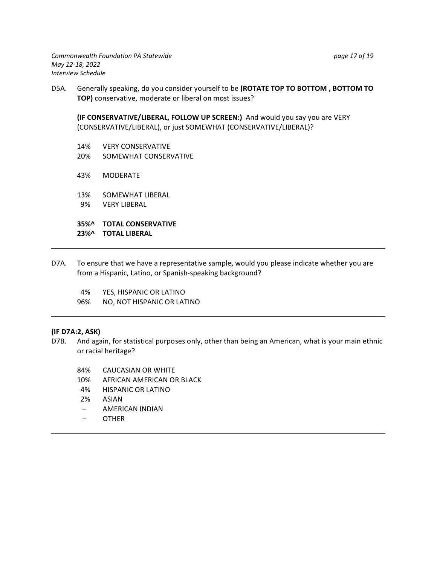D5A. Generally speaking, do you consider yourself to be **(ROTATE TOP TO BOTTOM , BOTTOM TO TOP)** conservative, moderate or liberal on most issues?

**(IF CONSERVATIVE/LIBERAL, FOLLOW UP SCREEN:)** And would you say you are VERY (CONSERVATIVE/LIBERAL), or just SOMEWHAT (CONSERVATIVE/LIBERAL)?

- 14% VERY CONSERVATIVE
- 20% SOMEWHAT CONSERVATIVE
- 43% MODERATE
- 13% SOMEWHAT LIBERAL
- 9% VERY LIBERAL

**23%^ TOTAL LIBERAL**

**35%^ TOTAL CONSERVATIVE**

- D7A. To ensure that we have a representative sample, would you please indicate whether you are from a Hispanic, Latino, or Spanish-speaking background?
	- 4% YES, HISPANIC OR LATINO
	- 96% NO, NOT HISPANIC OR LATINO

# **(IF D7A:2, ASK)**

- And again, for statistical purposes only, other than being an American, what is your main ethnic or racial heritage?
	- 84% CAUCASIAN OR WHITE
	- 10% AFRICAN AMERICAN OR BLACK
	- 4% HISPANIC OR LATINO
	- 2% ASIAN
	- AMERICAN INDIAN
	- OTHER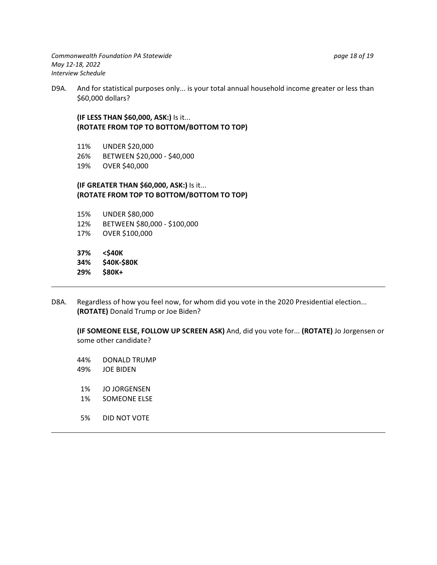D9A. And for statistical purposes only... is your total annual household income greater or less than \$60,000 dollars?

### **(IF LESS THAN \$60,000, ASK:)** Is it... **(ROTATE FROM TOP TO BOTTOM/BOTTOM TO TOP)**

- 11% UNDER \$20,000
- 26% BETWEEN \$20,000 \$40,000
- 19% OVER \$40,000

### **(IF GREATER THAN \$60,000, ASK:)** Is it... **(ROTATE FROM TOP TO BOTTOM/BOTTOM TO TOP)**

- 15% UNDER \$80,000 12% BETWEEN \$80,000 - \$100,000
- 17% OVER \$100,000
- 

**37% <\$40K**

- 34% **\$40K-\$90UK**<br>300K- \$80K-**29% \$80K+**
- D8A. Regardless of how you feel now, for whom did you vote in the 2020 Presidential election... **(ROTATE)** Donald Trump or Joe Biden?

**(IF SOMEONE ELSE, FOLLOW UP SCREEN ASK)** And, did you vote for... **(ROTATE)** Jo Jorgensen or some other candidate?

44% DONALD TRUMP

- 49% JOE BIDEN
- 1% JO JORGENSEN
- 1% SOMEONE ELSE
- 5% DID NOT VOTE